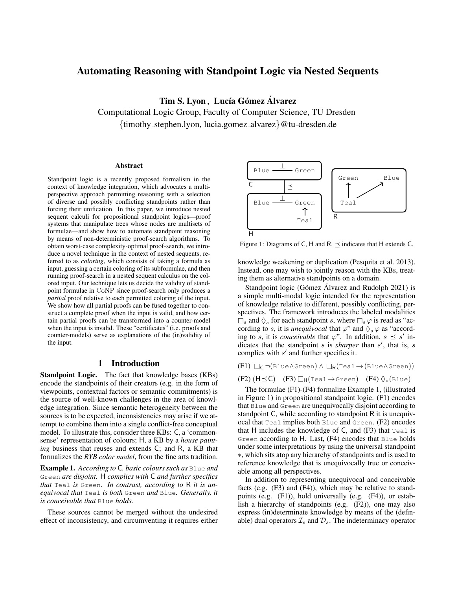# Automating Reasoning with Standpoint Logic via Nested Sequents

Tim S. Lyon, Lucía Gómez Álvarez

Computational Logic Group, Faculty of Computer Science, TU Dresden {timothy stephen.lyon, lucia.gomez alvarez}@tu-dresden.de

#### Abstract

Standpoint logic is a recently proposed formalism in the context of knowledge integration, which advocates a multiperspective approach permitting reasoning with a selection of diverse and possibly conflicting standpoints rather than forcing their unification. In this paper, we introduce nested sequent calculi for propositional standpoint logics—proof systems that manipulate trees whose nodes are multisets of formulae—and show how to automate standpoint reasoning by means of non-deterministic proof-search algorithms. To obtain worst-case complexity-optimal proof-search, we introduce a novel technique in the context of nested sequents, referred to as *coloring*, which consists of taking a formula as input, guessing a certain coloring of its subformulae, and then running proof-search in a nested sequent calculus on the colored input. Our technique lets us decide the validity of standpoint formulae in CoNP since proof-search only produces a *partial* proof relative to each permitted coloring of the input. We show how all partial proofs can be fused together to construct a complete proof when the input is valid, and how certain partial proofs can be transformed into a counter-model when the input is invalid. These "certificates" (i.e. proofs and counter-models) serve as explanations of the (in)validity of the input.

### 1 Introduction

**Standpoint Logic.** The fact that knowledge bases (KBs) encode the standpoints of their creators (e.g. in the form of viewpoints, contextual factors or semantic commitments) is the source of well-known challenges in the area of knowledge integration. Since semantic heterogeneity between the sources is to be expected, inconsistencies may arise if we attempt to combine them into a single conflict-free conceptual model. To illustrate this, consider three KBs: C, a 'commonsense' representation of colours; H, a KB by a *house painting* business that reuses and extends C; and R, a KB that formalizes the *RYB color model*, from the fine arts tradition.

<span id="page-0-2"></span>Example 1. *According to* C*, basic colours such as* Blue *and* Green *are disjoint.* H *complies with* C *and further specifies that* Teal *is* Green*. In contrast, according to* R *it is unequivocal that* Teal *is both* Green *and* Blue*. Generally, it is conceivable that* Blue *holds.*

These sources cannot be merged without the undesired effect of inconsistency, and circumventing it requires either

<span id="page-0-3"></span>

Figure 1: Diagrams of C, H and R.  $\preceq$  indicates that H extends C.

knowledge weakening or duplication [\(Pesquita et al. 2013\)](#page-9-0). Instead, one may wish to jointly reason with the KBs, treating them as alternative standpoints on a domain.

Standpoint logic (Gómez Álvarez and Rudolph 2021) is a simple multi-modal logic intended for the representation of knowledge relative to different, possibly conflicting, perspectives. The framework introduces the labeled modalities  $\overline{\Box}_s$  and  $\Diamond_s$  for each standpoint s, where  $\Box_s \varphi$  is read as "according to s, it is *unequivocal* that  $\varphi$ " and  $\Diamond_s \varphi$  as "according to s, it is *conceivable* that  $\varphi$ ". In addition,  $s \preceq s'$  indicates that the standpoint  $s$  is *sharper* than  $s'$ , that is,  $s$ complies with  $s'$  and further specifies it.

<span id="page-0-0"></span>
$$
(F1) \ \Box_C \ \neg (\text{Blue} \land \text{Green}) \land \ \Box_R (\text{Teal} \to (\text{Blue} \land \text{Green}))
$$

<span id="page-0-5"></span><span id="page-0-4"></span><span id="page-0-1"></span> $(F2)$   $(H \preceq C)$   $(F3)$   $\Box$  $H$ (Teal  $\rightarrow$  Green)  $(F4)$   $\Diamond$ <sub>\*</sub>(Blue)

The formulae [\(F1\)](#page-0-0)[-\(F4\)](#page-0-1) formalize Example [1,](#page-0-2) (illustrated in Figure [1\)](#page-0-3) in propositional standpoint logic. [\(F1\)](#page-0-0) encodes that Blue and Green are unequivocally disjoint according to standpoint C, while according to standpoint R it is unequivocal that Teal implies both Blue and Green. [\(F2\)](#page-0-4) encodes that H includes the knowledge of  $C$ , and  $(F3)$  that  $Teal$  is Green according to H. Last, [\(F4\)](#page-0-1) encodes that Blue holds under some interpretations by using the universal standpoint ∗, which sits atop any hierarchy of standpoints and is used to reference knowledge that is unequivocally true or conceivable among all perspectives.

In addition to representing unequivocal and conceivable facts (e.g. [\(F3\)](#page-0-5) and [\(F4\)\)](#page-0-1), which may be relative to standpoints (e.g. [\(F1\)\)](#page-0-0), hold universally (e.g. [\(F4\)\)](#page-0-1), or establish a hierarchy of standpoints (e.g. [\(F2\)\)](#page-0-4), one may also express (in)determinate knowledge by means of the (definable) dual operators  $\mathcal{I}_s$  and  $\mathcal{D}_s$ . The indeterminacy operator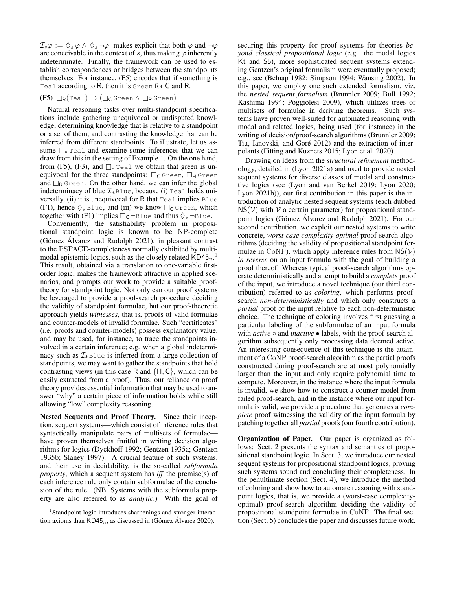$\mathcal{I}_s\varphi := \Diamond_s \varphi \land \Diamond_s \neg \varphi$  makes explicit that both  $\varphi$  and  $\neg \varphi$ are conceivable in the context of s, thus making  $\varphi$  inherently indeterminate. Finally, the framework can be used to establish correspondences or bridges between the standpoints themselves. For instance, [\(F5\)](#page-1-0) encodes that if something is Teal according to R, then it is Green for C and R.

### <span id="page-1-0"></span> $(F5) \Box_R(\text{Teal}) \rightarrow (\Box_C \text{Green} \land \Box_R \text{Green})$

Natural reasoning tasks over multi-standpoint specifications include gathering unequivocal or undisputed knowledge, determining knowledge that is relative to a standpoint or a set of them, and contrasting the knowledge that can be inferred from different standpoints. To illustrate, let us assume □<sup>∗</sup> Teal and examine some inferences that we can draw from this in the setting of Example [1.](#page-0-2) On the one hand, from [\(F5\),](#page-1-0) [\(F3\),](#page-0-5) and  $\square_*$  Teal we obtain that green is unequivocal for the three standpoints:  $\Box_C$  Green,  $\Box_H$  Green and  $\Box_R$  Green. On the other hand, we can infer the global indeterminacy of blue  $\mathcal{I}_*$ Blue, because (i) Teal holds universally, (ii) it is unequivocal for  $R$  that  $T = 1$  implies Blue [\(F1\),](#page-0-0) hence  $\Diamond_*$  Blue, and (iii) we know  $\Box_C$  Green, which together with [\(F1\)](#page-0-0) implies  $\Box_C \neg$ Blue and thus  $\Diamond_* \neg$ Blue.

Conveniently, the satisfiability problem in propositional standpoint logic is known to be NP-complete (Gómez Álvarez and Rudolph 2021), in pleasant contrast to the PSPACE-completeness normally exhibited by multimodal epistemic logics, such as the closely related  $KDA5_n$ .<sup>[1](#page-1-1)</sup> This result, obtained via a translation to one-variable firstorder logic, makes the framework attractive in applied scenarios, and prompts our work to provide a suitable prooftheory for standpoint logic. Not only can our proof systems be leveraged to provide a proof-search procedure deciding the validity of standpoint formulae, but our proof-theoretic approach yields *witnesses*, that is, proofs of valid formulae and counter-models of invalid formulae. Such "certificates" (i.e. proofs and counter-models) possess explanatory value, and may be used, for instance, to trace the standpoints involved in a certain inference; e.g. when a global indeterminacy such as  $\mathcal{I}_{*}$ Blue is inferred from a large collection of standpoints, we may want to gather the standpoints that hold contrasting views (in this case R and  $\{H, C\}$ , which can be easily extracted from a proof). Thus, our reliance on proof theory provides essential information that may be used to answer "why" a certain piece of information holds while still allowing "low" complexity reasoning.

Nested Sequents and Proof Theory. Since their inception, sequent systems—which consist of inference rules that syntactically manipulate pairs of multisets of formulae have proven themselves fruitful in writing decision algorithms for logics [\(Dyckhoff 1992;](#page-9-2) [Gentzen 1935a;](#page-9-3) [Gentzen](#page-9-4) [1935b;](#page-9-4) [Slaney 1997\)](#page-9-5). A crucial feature of such systems, and their use in decidability, is the so-called *subformula property*, which a sequent system has *iff* the premise(s) of each inference rule only contain subformulae of the conclusion of the rule. (NB. Systems with the subformula property are also referred to as *analytic*.) With the goal of

securing this property for proof systems for theories *beyond classical propositional logic* (e.g. the modal logics Kt and S5), more sophisticated sequent systems extending Gentzen's original formalism were eventually proposed; e.g., see [\(Belnap 1982;](#page-9-7) [Simpson 1994;](#page-9-8) [Wansing 2002\)](#page-9-9). In this paper, we employ one such extended formalism, viz. the *nested sequent formalism* (Brünnler 2009; [Bull 1992;](#page-9-11) [Kashima 1994;](#page-9-12) [Poggiolesi 2009\)](#page-9-13), which utilizes trees of multisets of formulae in deriving theorems. Such systems have proven well-suited for automated reasoning with modal and related logics, being used (for instance) in the writing of decision/proof-search algorithms (Brünnler 2009; Tiu, Ianovski, and Goré 2012) and the extraction of interpolants [\(Fitting and Kuznets 2015;](#page-9-15) [Lyon et al. 2020\)](#page-9-16).

Drawing on ideas from the *structural refinement* methodology, detailed in [\(Lyon 2021a\)](#page-9-17) and used to provide nested sequent systems for diverse classes of modal and constructive logics (see [\(Lyon and van Berkel 2019;](#page-9-18) [Lyon 2020;](#page-9-19) [Lyon 2021b\)](#page-9-20)), our first contribution in this paper is the introduction of analytic nested sequent systems (each dubbed  $NS(V)$  with V a certain parameter) for propositional standpoint logics (Gómez Álvarez and Rudolph 2021). For our second contribution, we exploit our nested systems to write concrete, *worst-case complexity-optimal* proof-search algorithms (deciding the validity of propositional standpoint formulae in CoNP), which apply inference rules from  $NS(V)$ *in reverse* on an input formula with the goal of building a proof thereof. Whereas typical proof-search algorithms operate deterministically and attempt to build a *complete* proof of the input, we introduce a novel technique (our third contribution) referred to as *coloring*, which performs proofsearch *non-deterministically* and which only constructs a *partial* proof of the input relative to each non-deterministic choice. The technique of coloring involves first guessing a particular labeling of the subformulae of an input formula with *active* ∘ and *inactive* • labels, with the proof-search algorithm subsequently only processing data deemed active. An interesting consequence of this technique is the attainment of a CoNP proof-search algorithm as the partial proofs constructed during proof-search are at most polynomially larger than the input and only require polynomial time to compute. Moreover, in the instance where the input formula is invalid, we show how to construct a counter-model from failed proof-search, and in the instance where our input formula is valid, we provide a procedure that generates a *complete* proof witnessing the validity of the input formula by patching together all *partial* proofs (our fourth contribution).

Organization of Paper. Our paper is organized as follows: Sect. [2](#page-2-0) presents the syntax and semantics of propositional standpoint logic. In Sect. [3,](#page-2-1) we introduce our nested sequent systems for propositional standpoint logics, proving such systems sound and concluding their completeness. In the penultimate section (Sect. [4\)](#page-4-0), we introduce the method of coloring and show how to automate reasoning with standpoint logics, that is, we provide a (worst-case complexityoptimal) proof-search algorithm deciding the validity of propositional standpoint formulae in CoNP. The final section (Sect. [5\)](#page-8-0) concludes the paper and discusses future work.

<span id="page-1-1"></span><sup>&</sup>lt;sup>1</sup>Standpoint logic introduces sharpenings and stronger interaction axioms than  $KD45<sub>n</sub>$ , as discussed in (Gómez Álvarez 2020).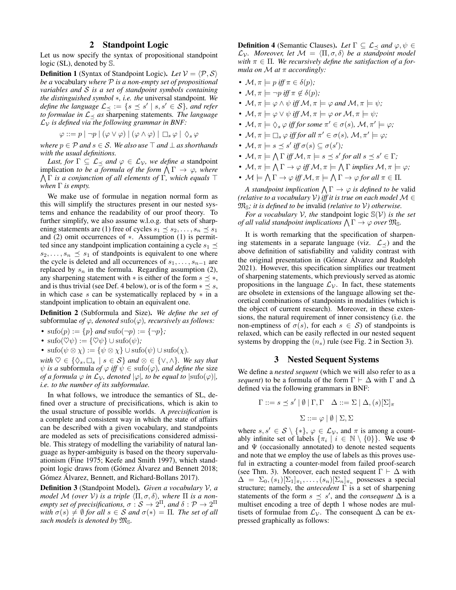# 2 Standpoint Logic

<span id="page-2-0"></span>Let us now specify the syntax of propositional standpoint logic (SL), denoted by S.

**Definition 1** (Syntax of Standpoint Logic). Let  $V = \langle P, S \rangle$ *be a* vocabulary *where* P *is a non-empty set of propositional variables and* S *is a set of standpoint symbols containing the distinguished symbol* ∗*, i.e. the* universal standpoint*. We define the language*  $\mathcal{L}_{\preceq} := \{ s \preceq s' \mid s, s' \in \mathcal{S} \}$ , and refer *to formulae in*  $L \lt \infty$  *as* sharpening statements. The language  $\mathcal{L}_{\mathcal{V}}$  *is defined via the following grammar in BNF:* 

$$
\varphi ::= p | \neg p | (\varphi \vee \varphi) | (\varphi \wedge \varphi) | \Box_s \varphi | \Diamond_s \varphi
$$

*where*  $p \in \mathcal{P}$  *and*  $s \in \mathcal{S}$ *. We also use*  $\top$  *and*  $\bot$  *as shorthands with the usual definitions.*

*Last, for*  $\Gamma \subseteq \mathcal{L}_{\preceq}$  *and*  $\varphi \in \mathcal{L}_{\mathcal{V}}$ *, we define a* standpoint implication *to be a formula of the form*  $\bigwedge \Gamma \to \varphi$ *, where* V Γ *is a conjunction of all elements of* Γ*, which equals* ⊤ *when* Γ *is empty.*

We make use of formulae in negation normal form as this will simplify the structures present in our nested systems and enhance the readability of our proof theory. To further simplify, we also assume w.l.o.g. that sets of sharpening statements are (1) free of cycles  $s_1 \leq s_2, \ldots, s_n \leq s_1$ and (2) omit occurrences of ∗. Assumption (1) is permitted since any standpoint implication containing a cycle  $s_1 \preceq$  $s_2, \ldots, s_n \preceq s_1$  of standpoints is equivalent to one where the cycle is deleted and all occurrences of  $s_1, \ldots, s_{n-1}$  are replaced by  $s_n$  in the formula. Regarding assumption (2), any sharpening statement with  $*$  is either of the form  $s \preceq *,$ and is thus trivial (see Def. [4](#page-2-2) below), or is of the form  $* \leq s$ , in which case  $s$  can be systematically replaced by  $*$  in a standpoint implication to obtain an equivalent one.

Definition 2 (Subformula and Size). *We define the set of* subformulae *of*  $\varphi$ *, denoted* sufo( $\varphi$ *), recursively as follows:* 

- $\text{sub}(p) := \{p\}$  *and*  $\text{sub}(\neg p) := \{\neg p\}$ ;
- $\text{sub}(\heartsuit\psi) := {\heartsuit\psi} \cup \text{sub}(\psi)$ ;
- $\text{sub}(\psi \otimes \chi) := \{\psi \otimes \chi\} \cup \text{sub}(\psi) \cup \text{sub}(\chi)$ .

 $with \varnothing \in {\Diamond_s, \Box_s \mid s \in \mathcal{S}} \}$  *and*  $\varnothing \in {\lbrace \vee, \wedge \rbrace}$ *. We say that*  $\psi$  *is a* subformula *of*  $\varphi$  *iff*  $\psi \in \text{sub}( \varphi)$ *, and define the* size *of a formula*  $\varphi$  *in*  $\mathcal{L}_{\mathcal{V}}$ *, denoted*  $|\varphi|$ *, to be equal to*  $|\text{sufo}(\varphi)|$ *, i.e. to the number of its subformulae.*

In what follows, we introduce the semantics of SL, defined over a structure of precisifications, which is akin to the usual structure of possible worlds. A *precisification* is a complete and consistent way in which the state of affairs can be described with a given vocabulary, and standpoints are modeled as sets of precisifications considered admissible. This strategy of modelling the variability of natural language as hyper-ambiguity is based on the theory supervaluationism [\(Fine 1975;](#page-9-21) [Keefe and Smith 1997\)](#page-9-22), which standpoint logic draws from (Gómez Álvarez and Bennett 2018; Gómez Álvarez, Bennett, and Richard-Bollans 2017).

<span id="page-2-2"></span>Definition 3 (Standpoint Model). *Given a vocabulary* V*, a model* M (over V) is a triple  $\langle \Pi, \sigma, \delta \rangle$ , where  $\Pi$  is a non*empty set of precisifications,*  $\sigma : \mathcal{S} \to 2^{\Pi}$ *, and*  $\delta : \mathcal{P} \to 2^{\Pi}$ with  $\sigma(s) \neq \emptyset$  for all  $s \in S$  and  $\sigma(*) = \Pi$ . The set of all *such models is denoted by*  $\mathfrak{M}_{\mathbb{S}}$ *.* 

**Definition 4** (Semantic Clauses). Let  $\Gamma \subseteq \mathcal{L}_{\prec}$  and  $\varphi, \psi \in$  $\mathcal{L}_{\mathcal{V}}$ *. Moreover, let*  $\mathcal{M} = \langle \Pi, \sigma, \delta \rangle$  be a standpoint model *with*  $\pi \in \Pi$ . We recursively define the satisfaction of a for*mula on* M *at* π *accordingly:*

- $\mathcal{M}, \pi \models p$  *iff*  $\pi \in \delta(p)$ *;*
- $\mathcal{M}, \pi \models \neg p \text{ iff } \pi \notin \delta(p);$
- $M, \pi \models \varphi \land \psi$  *iff*  $M, \pi \models \varphi$  *and*  $M, \pi \models \psi$ *;*
- $M, \pi \models \varphi \lor \psi$  *iff*  $M, \pi \models \varphi$  or  $M, \pi \models \psi$ ;
- $\mathcal{M}, \pi \models \Diamond_s \varphi \text{ iff for some } \pi' \in \sigma(s), \mathcal{M}, \pi' \models \varphi;$
- $\mathcal{M}, \pi \models \Box_s \varphi$  *iff for all*  $\pi' \in \sigma(s)$ ,  $\mathcal{M}, \pi' \models \varphi$ ;
- $\mathcal{M}, \pi \models s \preceq s' \text{ iff } \sigma(s) \subseteq \sigma(s')$ ;
- $\mathcal{M}, \pi \models \bigwedge \Gamma$  iff  $\mathcal{M}, \pi \models s \preceq s'$  for all  $s \preceq s' \in \Gamma$ ;
- $\mathcal{M}, \pi \models \bigwedge \Gamma \rightarrow \varphi \text{ iff } \mathcal{M}, \pi \models \bigwedge \Gamma \text{ implies } \mathcal{M}, \pi \models \varphi;$
- $\mathcal{M} \models \bigwedge \Gamma \rightarrow \varphi \text{ iff } \mathcal{M}, \pi \models \bigwedge \Gamma \rightarrow \varphi \text{ for all } \pi \in \Pi.$

*A standpoint implication*  $\bigwedge \Gamma \to \varphi$  *is defined to be* valid *(relative to a vocabulary* V*) iff it is true on each model* M ∈  $\mathfrak{M}_{\mathbb{S}}$ *; it is defined to be invalid (relative to V) otherwise.* 

*For a vocabulary*  $V$ *, the standpoint logic*  $\mathcal{S}(V)$  *is the set of all valid standpoint implications*  $\bigwedge \Gamma \to \varphi$  *over*  $\mathfrak{M}_{\mathbb{S}}$ *.* 

It is worth remarking that the specification of sharpening statements in a separate language (viz.  $\mathcal{L}_{\prec}$ ) and the above definition of satisfiability and validity contrast with the original presentation in (Gómez Álvarez and Rudolph [2021\)](#page-9-1). However, this specification simplifies our treatment of sharpening statements, which previously served as atomic propositions in the language  $\mathcal{L}_{\mathcal{V}}$ . In fact, these statements are obsolete in extensions of the language allowing set theoretical combinations of standpoints in modalities (which is the object of current research). Moreover, in these extensions, the natural requirement of inner consistency (i.e. the non-emptiness of  $\sigma(s)$ , for each  $s \in S$ ) of standpoints is relaxed, which can be easily reflected in our nested sequent systems by dropping the  $(n<sub>s</sub>)$  rule (see Fig. [2](#page-4-1) in Section [3\)](#page-2-1).

### 3 Nested Sequent Systems

<span id="page-2-1"></span>We define a *nested sequent* (which we will also refer to as a *sequent*) to be a formula of the form  $\Gamma \vdash \Delta$  with  $\Gamma$  and  $\Delta$ defined via the following grammars in BNF:

$$
\Gamma ::= s \preceq s' | \emptyset | \Gamma, \Gamma \quad \Delta ::= \Sigma | \Delta, (s)[\Sigma]_{\pi}
$$

$$
\Sigma ::= \varphi | \emptyset | \Sigma, \Sigma
$$

where  $s, s' \in S \setminus \{*\}, \varphi \in \mathcal{L}_{\mathcal{V}}$ , and  $\pi$  is among a countably infinite set of labels  $\{\pi_i \mid i \in \mathbb{N} \setminus \{0\}\}\$ . We use  $\Phi$ and  $\Psi$  (occasionally annotated) to denote nested sequents and note that we employ the use of labels as this proves useful in extracting a counter-model from failed proof-search (see Thm. [3\)](#page-6-0). Moreover, each nested sequent  $\Gamma \vdash \Delta$  with  $\Delta = \Sigma_0$ ,  $(s_1)[\Sigma_1]_{\pi_1}, \ldots, (s_n)[\Sigma_n]_{\pi_n}$  possesses a special structure; namely, the *antecedent* Γ is a set of sharpening statements of the form  $s \leq s'$ , and the *consequent*  $\Delta$  is a multiset encoding a tree of depth 1 whose nodes are multisets of formulae from  $\mathcal{L}_{\mathcal{V}}$ . The consequent  $\Delta$  can be expressed graphically as follows: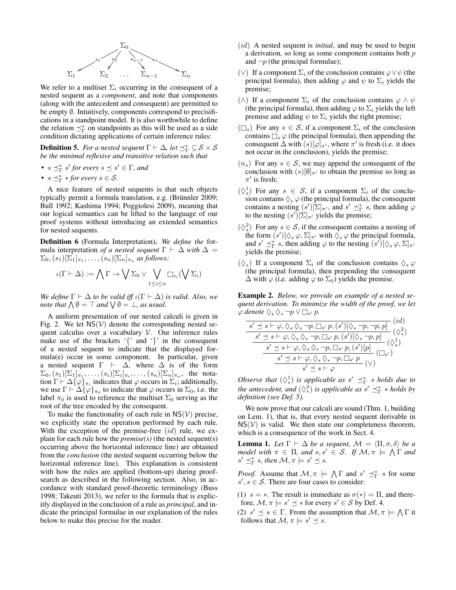

We refer to a multiset  $\Sigma_i$  occurring in the consequent of a nested sequent as a *component*, and note that components (along with the antecedent and consequent) are permitted to be empty *Ø.* Intuitively, components correspond to precisifications in a standpoint model. It is also worthwhile to define the relation  $\preceq^*_{\Gamma}$  on standpoints as this will be used as a side condition dictating applications of certain inference rules:

<span id="page-3-0"></span>**Definition 5.** For a nested sequent  $\Gamma \vdash \Delta$ , let  $\preceq^*_{\Gamma} \subseteq S \times S$ *be the minimal reflexive and transitive relation such that*

- $s \preceq^*_{\Gamma} s'$  for every  $s \preceq s' \in \Gamma$ , and
- $s \preceq^*_{\Gamma} * for every s \in \mathcal{S}$ .

A nice feature of nested sequents is that such objects typically permit a formula translation, e.g. (Brünnler 2009; [Bull 1992;](#page-9-11) [Kashima 1994;](#page-9-12) [Poggiolesi 2009\)](#page-9-13), meaning that our logical semantics can be lifted to the language of our proof systems without introducing an extended semantics for nested sequents.

Definition 6 (Formula Interpretation). *We define the* formula interpretation *of a nested sequent*  $\Gamma \vdash \Delta$  *with*  $\Delta =$  $\Sigma_0$ ,  $(s_1)[\Sigma_1]_{\pi_1}, \ldots, (s_n)[\Sigma_n]_{\pi_n}$  *as follows:* 

$$
\iota(\Gamma \vdash \Delta) := \bigwedge \Gamma \to \bigvee \Sigma_0 \vee \bigvee_{1 \leq i \leq n} \Box_{s_i}(\bigvee \Sigma_i)
$$

*We define*  $\Gamma \vdash \Delta$  *to be valid iff*  $\iota(\Gamma \vdash \Delta)$  *is valid. Also, we note that*  $\bigwedge \emptyset = \top$  *and*  $\bigvee \emptyset = \bot$ *, as usual.* 

A uniform presentation of our nested calculi is given in Fig. [2.](#page-4-1) We let  $NS(V)$  denote the corresponding nested sequent calculus over a vocabulary  $V$ . Our inference rules make use of the brackets '{' and '}' in the consequent of a nested sequent to indicate that the displayed formula(e) occur in some component. In particular, given a nested sequent  $\Gamma$  ⊢  $\Delta$ , where  $\Delta$  is of the form  $\Sigma_0$ ,  $(s_1)[\Sigma_1]_{\pi_1}, \ldots, (s_i)[\Sigma_i]_{\pi_i}, \ldots, (s_n)[\Sigma_n]_{\pi_n}$ , the notation  $\Gamma \vdash \Delta \{\varphi\}_{\pi_i}$  indicates that  $\varphi$  occurs in  $\Sigma_i$ ; additionally, we use  $\Gamma \vdash \Delta \{\varphi\}_{\pi_0}$  to indicate that  $\varphi$  occurs in  $\Sigma_0$ , i.e. the label  $\pi_0$  is used to reference the multiset  $\Sigma_0$  serving as the root of the tree encoded by the consequent.

To make the functionality of each rule in  $NS(V)$  precise, we explicitly state the operation performed by each rule. With the exception of the premise-free  $(id)$  rule, we explain for each rule how the *premise(s)* (the nested sequent(s) occurring above the horizontal inference line) are obtained from the *conclusion* (the nested sequent occurring below the horizontal inference line). This explanation is consistent with how the rules are applied (bottom-up) during proofsearch as described in the following section. Also, in accordance with standard proof-theoretic terminology [\(Buss](#page-9-25) [1998;](#page-9-25) [Takeuti 2013\)](#page-9-26), we refer to the formula that is explicitly displayed in the conclusion of a rule as *principal*, and indicate the principal formulae in our explanation of the rules below to make this precise for the reader.

- (id) A nested sequent is *initial*, and may be used to begin a derivation, so long as some component contains both  $p$ and  $\neg p$  (the principal formulae);
- (∨) If a component  $\Sigma_i$  of the conclusion contains  $\varphi \vee \psi$  (the principal formula), then adding  $\varphi$  and  $\psi$  to  $\Sigma_i$  yields the premise;
- ( $\wedge$ ) If a component  $\Sigma_i$  of the conclusion contains  $\varphi \wedge \psi$ (the principal formula), then adding  $\varphi$  to  $\Sigma_i$  yields the left premise and adding  $\psi$  to  $\Sigma_i$  yields the right premise;
- $(\Box_s)$  For any  $s \in \mathcal{S}$ , if a component  $\Sigma_i$  of the conclusion contains  $\Box_s \varphi$  (the principal formula), then appending the consequent  $\Delta$  with  $(s)[\varphi]_{\pi}$ , where  $\pi'$  is fresh (i.e. it does not occur in the conclusion), yields the premise;
- $(n_s)$  For any  $s \in S$ , we may append the consequent of the conclusion with  $(s)[\emptyset]_{\pi'}$  to obtain the premise so long as  $\pi'$  is fresh;
- $(\Diamond_s^1)$  For any  $s \in S$ , if a component  $\Sigma_i$  of the conclusion contains  $\Diamond_s \varphi$  (the principal formula), the consequent contains a nesting  $(s')[\Sigma]_{\pi}$ , and  $s' \preceq^*_{\Gamma} s$ , then adding  $\varphi$ to the nesting  $(s')[\Sigma]_{\pi'}$  yields the premise;
- $(\lozenge_s^2)$  For any  $s \in S$ , if the consequent contains a nesting of the form  $(s')[\Diamond_s \varphi, \Sigma]_{\pi'}$  with  $\Diamond_s \varphi$  the principal formula, and  $s' \preceq^*_{\Gamma} s$ , then adding  $\varphi$  to the nesting  $(s')[\Diamond_s \varphi, \Sigma]_{\pi'}$ yields the premise;
- $(\Diamond_*)$  If a component  $\Sigma_i$  of the conclusion contains  $\Diamond_* \varphi$ (the principal formula), then prepending the consequent  $\Delta$  with  $\varphi$  (i.e. adding  $\varphi$  to  $\Sigma_0$ ) yields the premise.

Example 2. *Below, we provide an example of a nested sequent derivation. To minimize the width of the proof, we let*  $\varphi$  *denote*  $\Diamond_s \Diamond_* \neg p \lor \Box_{s'} p$ .  $\left(\cdot\right)$ 

$$
\frac{s' \preceq s \vdash \varphi, \Diamond_s \Diamond_* \neg p, \Box_{s'} p, (s')[\Diamond_* \neg p, \neg p, p]}{(s')}
$$
  
\n
$$
\frac{s' \preceq s \vdash \varphi, \Diamond_s \Diamond_* \neg p, \Box_{s'} p, (s')[\Diamond_* \neg p, p]}{s' \preceq s \vdash \varphi, \Diamond_s \Diamond_* \neg p, \Box_{s'} p, (s')[p]} (\Diamond_s^1)
$$
  
\n
$$
\frac{s' \preceq s \vdash \varphi, \Diamond_s \Diamond_* \neg p, \Box_{s'} p}{s' \preceq s \vdash \varphi, \Diamond_s \Diamond_* \neg p, \Box_{s'} p} (v)
$$

*Observe that*  $(\Diamond_s^1)$  *is applicable as*  $s' \preceq^*_{\Gamma} s$  *holds due to the antecedent, and*  $(\Diamond^2_*)$  *is applicable as*  $s' \preceq^*_{\Gamma} *$  *holds by definition (see Def. [5\)](#page-3-0).*

We now prove that our calculi are sound (Thm. [1,](#page-4-2) building on Lem. [1\)](#page-3-1), that is, that every nested sequent derivable in  $NS(V)$  is valid. We then state our completeness theorem, which is a consequence of the work in Sect. [4.](#page-4-0)

<span id="page-3-1"></span>**Lemma 1.** Let  $\Gamma \vdash \Delta$  be a sequent,  $\mathcal{M} = \langle \Pi, \sigma, \delta \rangle$  be a *model with*  $\pi \in \Pi$ , and  $s, s' \in S$ . If  $\mathcal{M}, \pi \models \bigwedge \Gamma$  and  $s' \preceq^*_{\Gamma} s$ , then  $\mathcal{M}, \pi \models s' \preceq s$ .

*Proof.* Assume that  $\mathcal{M}, \pi \models \bigwedge \Gamma$  and  $s' \preceq^*_{\Gamma} s$  for some  $s', s \in S$ . There are four cases to consider:

(1)  $s = *$ . The result is immediate as  $\sigma(*) = \Pi$ , and therefore,  $\mathcal{M}, \pi \models s' \preceq *$  for every  $s' \in \mathcal{S}$  by Def. [4.](#page-2-2)

(2)  $s' \leq s \in \Gamma$ . From the assumption that  $\mathcal{M}, \pi \models \bigwedge \Gamma$  it follows that  $\mathcal{M}, \pi \models s' \preceq s$ .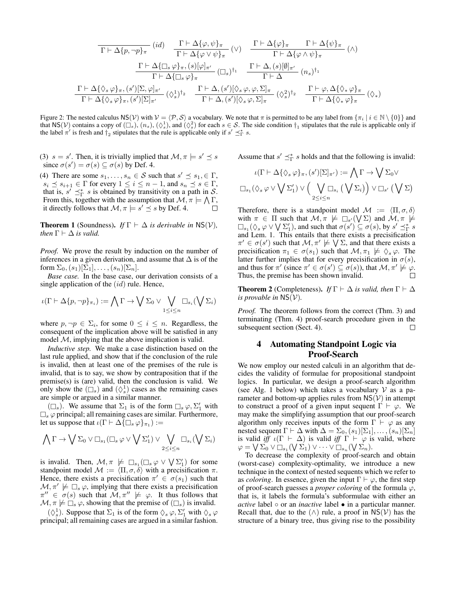<span id="page-4-1"></span>
$$
\frac{\Gamma \vdash \Delta \{ \varphi, \psi \}_{\pi} \quad (\mathrm{id}) \qquad \frac{\Gamma \vdash \Delta \{ \varphi, \psi \}_{\pi}}{\Gamma \vdash \Delta \{ \varphi \vee \psi \}_{\pi}} \quad (\vee) \qquad \frac{\Gamma \vdash \Delta \{ \varphi \}_{\pi} \qquad \Gamma \vdash \Delta \{ \psi \}_{\pi}}{\Gamma \vdash \Delta \{ \varphi \wedge \psi \}_{\pi}} \quad (\wedge)
$$
\n
$$
\frac{\Gamma \vdash \Delta \{ \Box_s \varphi \}_{\pi}, (s)[\varphi]_{\pi'}}{\Gamma \vdash \Delta \{ \Box_s \varphi \}_{\pi}} \quad (\Box_s)^\dagger_1 \qquad \frac{\Gamma \vdash \Delta, (s)[\emptyset]_{\pi'}}{\Gamma \vdash \Delta} \quad (n_s)^\dagger_1}
$$
\n
$$
\frac{\Gamma \vdash \Delta \{ \Diamond_s \varphi \}_{\pi}, (s')[\Sigma, \varphi]_{\pi'}}{\Gamma \vdash \Delta \{ \Diamond_s \varphi \}_{\pi}, (s')[\Sigma, \varphi]_{\pi'}} \quad (\Diamond_s^\mathrm{1})^\dagger_2 \qquad \frac{\Gamma \vdash \Delta, (s')[\Diamond_s \varphi, \varphi, \Sigma]_{\pi}}{\Gamma \vdash \Delta, (s')[\Diamond_s \varphi, \Sigma]_{\pi}} \quad (\Diamond_s^\mathrm{2})^\dagger_2 \qquad \frac{\Gamma \vdash \varphi, \Delta \{ \Diamond_* \varphi \}_{\pi}}{\Gamma \vdash \Delta \{ \Diamond_* \varphi \}_{\pi}} \quad (\Diamond_*)
$$

Figure 2: The nested calculus NS(V) with  $V = \langle P, S \rangle$  a vocabulary. We note that  $\pi$  is permitted to be any label from  $\{\pi_i | i \in \mathbb{N} \setminus \{0\}\}\$ and that NS(V) contains a copy of  $(\Box_s)$ ,  $(n_s)$ ,  $(\Diamond_s^1)$ , and  $(\Diamond_s^2)$  for each  $s \in S$ . The side condition  $\dag_1$  stipulates that the rule is applicable only if the label  $\pi'$  is fresh and  $\dagger_2$  stipulates that the rule is applicable only if  $s' \preceq^*_{\Gamma} s$ .

(3)  $s = s'$ . Then, it is trivially implied that  $\mathcal{M}, \pi \models s' \preceq s$ since  $\sigma(s') = \sigma(s) \subseteq \sigma(s)$  by Def. [4.](#page-2-2)

(4) There are some  $s_1, \ldots, s_n \in S$  such that  $s' \preceq s_1, \in \Gamma$ ,  $s_i \preceq s_{i+1} \in \Gamma$  for every  $1 \leq i \leq n-1$ , and  $s_n \preceq s \in \Gamma$ , that is,  $s' \preceq^*_{\Gamma} s$  is obtained by transitivity on a path in S. From this, together with the assumption that  $\mathcal{M}, \pi \models \bigwedge \Gamma$ , it directly follows that  $\mathcal{M}, \pi \models s' \preceq s$  by Def. [4.](#page-2-2)  $\Box$ 

<span id="page-4-2"></span>**Theorem 1** (Soundness). *If*  $\Gamma \vdash \Delta$  *is derivable in* NS(V), *then*  $\Gamma \vdash \Delta$  *is valid.* 

*Proof.* We prove the result by induction on the number of inferences in a given derivation, and assume that  $\Delta$  is of the form  $\Sigma_0$ ,  $(s_1)[\Sigma_1], \ldots, (s_n)[\Sigma_n]$ .

*Base case.* In the base case, our derivation consists of a single application of the  $(id)$  rule. Hence,

$$
\iota(\Gamma \vdash \Delta\{p, \neg p\}_{\pi_i}) := \bigwedge \Gamma \to \bigvee \Sigma_0 \vee \bigvee_{1 \leq i \leq n} \Box_{s_i}(\bigvee \Sigma_i)
$$

where  $p, \neg p \in \Sigma_i$ , for some  $0 \leq i \leq n$ . Regardless, the consequent of the implication above will be satisfied in any model  $M$ , implying that the above implication is valid.

*Inductive step.* We make a case distinction based on the last rule applied, and show that if the conclusion of the rule is invalid, then at least one of the premises of the rule is invalid, that is to say, we show by contraposition that if the premise(s) is (are) valid, then the conclusion is valid. We only show the  $(\Box_s)$  and  $(\Diamond_s^1)$  cases as the remaining cases are simple or argued in a similar manner.

 $(\Box_s)$ . We assume that  $\Sigma_1$  is of the form  $\Box_s \varphi, \Sigma'_1$  with  $\square_s \varphi$  principal; all remaining cases are similar. Furthermore, let us suppose that  $\iota(\Gamma \vdash \Delta \overline{\{\Box_s \varphi\}}_{\pi_1}) :=$ 

$$
\bigwedge \Gamma \to \bigvee \Sigma_0 \vee \square_{s_1} (\square_s \varphi \vee \bigvee \Sigma'_1) \vee \bigvee_{2 \leq i \leq n} \square_{s_i}(\bigvee \Sigma_i)
$$

is invalid. Then,  $\mathcal{M}, \pi \not\models \Box_{s_1}(\Box_s \varphi \vee \bigvee \Sigma'_1)$  for some standpoint model  $M := \langle \Pi, \sigma, \delta \rangle$  with a precisification  $\pi$ . Hence, there exists a precisification  $\pi' \in \sigma(s_1)$  such that  $\mathcal{M}, \pi' \not\models \Box_s \varphi$ , implying that there exists a precisification  $\pi'' \in \sigma(s)$  such that  $\mathcal{M}, \pi'' \not\models \varphi$ . It thus follows that  $M, \pi \not\models \Box_s \varphi$ , showing that the premise of  $(\Box_s)$  is invalid.

 $(\Diamond_s^1)$ . Suppose that  $\Sigma_1$  is of the form  $\Diamond_s \varphi, \Sigma'_1$  with  $\Diamond_s \varphi$ principal; all remaining cases are argued in a similar fashion. Assume that  $s' \preceq^*_{\Gamma} s$  holds and that the following is invalid:

$$
\iota(\Gamma \vdash \Delta \{\Diamond_s \varphi\}_\pi, (s')[\Sigma]_{\pi'}) := \bigwedge \Gamma \to \bigvee \Sigma_0 \vee
$$
  

$$
\Box_{s_1}(\Diamond_s \varphi \vee \bigvee \Sigma'_1) \vee \Big(\bigvee_{2 \leq i \leq n} \Box_{s_i} (\bigvee \Sigma_i)\Big) \vee \Box_{s'} (\bigvee \Sigma)
$$

Therefore, there is a standpoint model  $\mathcal{M} := \langle \Pi, \sigma, \delta \rangle$ with  $\pi \in \Pi$  such that  $\mathcal{M}, \pi \not\models \Box_{s'}(\bigvee \Sigma)$  and  $\mathcal{M}, \pi \not\models \Box$  $\Box_{s_1}(\Diamond_s \varphi \lor \bigvee \Sigma'_1)$ , and such that  $\sigma(s') \subseteq \sigma(s)$ , by  $s' \preceq^*_{\Gamma} s$ and Lem. [1.](#page-3-1) This entails that there exists a precisification  $\pi' \in \sigma(s')$  such that  $\mathcal{M}, \pi' \not\models \bigvee \Sigma$ , and that there exists a precisification  $\pi_1 \in \sigma(s_1)$  such that  $\mathcal{M}, \pi_1 \not\models \Diamond_s \varphi$ . The latter further implies that for every precisification in  $\sigma(s)$ , and thus for  $\pi'$  (since  $\pi' \in \sigma(s') \subseteq \sigma(s)$ ), that  $\mathcal{M}, \pi' \not\models \varphi$ . Thus, the premise has been shown invalid.

**Theorem 2** (Completeness). *If*  $\Gamma \vdash \Delta$  *is valid, then*  $\Gamma \vdash \Delta$ *is provable in*  $NS(V)$ *.* 

*Proof.* The theorem follows from the correct (Thm. [3\)](#page-6-0) and terminating (Thm. [4\)](#page-8-1) proof-search procedure given in the subsequent section (Sect. [4\)](#page-4-0).  $\Box$ 

# <span id="page-4-0"></span>4 Automating Standpoint Logic via Proof-Search

We now employ our nested calculi in an algorithm that decides the validity of formulae for propositional standpoint logics. In particular, we design a proof-search algorithm (see Alg. [1](#page-5-0) below) which takes a vocabulary  $V$  as a parameter and bottom-up applies rules from  $NS(V)$  in attempt to construct a proof of a given input sequent  $\Gamma \vdash \varphi$ . We may make the simplifying assumption that our proof-search algorithm only receives inputs of the form  $\Gamma \vdash \varphi$  as any nested sequent  $\Gamma \vdash \Delta$  with  $\Delta = \Sigma_0$ ,  $(s_1)[\Sigma_1], \ldots, (s_n)[\Sigma_n]$ is valid *iff*  $\iota(\Gamma \vdash \Delta)$  is valid *iff*  $\Gamma \vdash \varphi$  is valid, where  $\varphi = \bigvee \Sigma_0^{\tilde{}} \vee \Box_{s_1} (\bigvee \Sigma_1) \vee \cdots \vee \Box_{s_n} (\bigvee \Sigma_n).$ 

To decrease the complexity of proof-search and obtain (worst-case) complexity-optimality, we introduce a new technique in the context of nested sequents which we refer to as *coloring*. In essence, given the input  $\Gamma \vdash \varphi$ , the first step of proof-search guesses a *proper coloring* of the formula  $\varphi$ , that is, it labels the formula's subformulae with either an *active* label ○ or an *inactive* label • in a particular manner. Recall that, due to the  $(\wedge)$  rule, a proof in NS(V) has the structure of a binary tree, thus giving rise to the possibility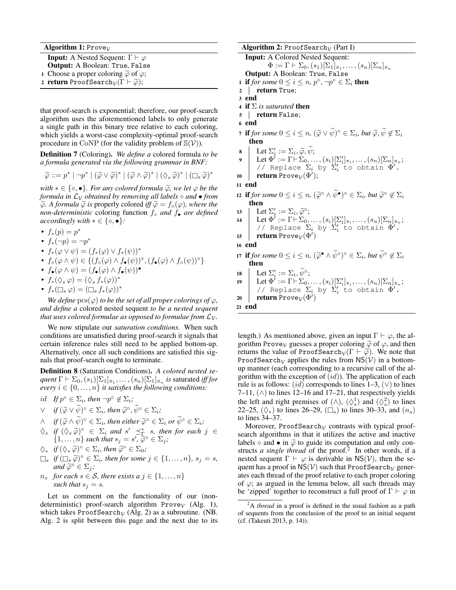| <b>Algorithm 1:</b> Prove <sub>V</sub>                                                    |
|-------------------------------------------------------------------------------------------|
| <b>Input:</b> A Nested Sequent: $\Gamma \vdash \varphi$                                   |
| <b>Output:</b> A Boolean: True, False                                                     |
| 1 Choose a proper coloring $\widetilde{\varphi}$ of $\varphi$ ;                           |
| 2 <b>return</b> ProofSearch <sub><math>V(\Gamma \vdash \widetilde{\varphi})</math>;</sub> |
|                                                                                           |

<span id="page-5-0"></span>that proof-search is exponential; therefore, our proof-search algorithm uses the aforementioned labels to only generate a single path in this binary tree relative to each coloring, which yields a worst-case complexity-optimal proof-search procedure in CoNP (for the validity problem of  $\mathbb{S}(\mathcal{V})$ ).

Definition 7 (Coloring). *We define a* colored formula *to be a formula generated via the following grammar in BNF:*

$$
\widetilde{\varphi} ::= p^* \mid \neg p^* \mid (\widetilde{\varphi} \vee \widetilde{\varphi})^* \mid (\widetilde{\varphi} \wedge \widetilde{\varphi})^* \mid (\Diamond_s \widetilde{\varphi})^* \mid (\Box_s \widetilde{\varphi})^*
$$

*with*  $* \in \{ \circ, \bullet \}$ *. For any colored formula*  $\widetilde{\varphi}$ *, we let*  $\varphi$  *be the formula in*  $\mathcal{L}_{\mathcal{V}}$  *obtained by removing all labels*  $\circ$  *and*  $\bullet$  *from*  $\widetilde{\varphi}$ *. A formula*  $\widetilde{\varphi}$  *is* properly colored *iff*  $\widetilde{\varphi} = f_{\circ}(\varphi)$ *, where the non-deterministic* coloring function f◦ *and* f• *are defined accordingly with*  $* \in \{\circ, \bullet\}$ *:* 

- $f_*(p) = p^*$
- $f_*(\neg p) = \neg p^*$
- $f_*(\varphi \vee \psi) = (f_*(\varphi) \vee f_*(\psi))^*$
- $f_{\circ}(\varphi \wedge \psi) \in \{ (f_{\circ}(\varphi) \wedge f_{\bullet}(\psi))^{\circ}, (f_{\bullet}(\varphi) \wedge f_{\circ}(\psi))^{\circ} \}$
- $f_{\bullet}(\varphi \wedge \psi) = (f_{\bullet}(\varphi) \wedge f_{\bullet}(\psi))^{\bullet}$
- $f_*(\Diamond_s \varphi) = (\Diamond_s f_*(\varphi))^*$
- $f_*(\Box_s \varphi) = (\Box_s f_*(\varphi))^*$

*We define*  $\text{pcs}(\varphi)$  *to be the set of all proper colorings of*  $\varphi$ *, and define a* colored nested sequent *to be a nested sequent that uses colored formulae as opposed to formulae from*  $\mathcal{L}_\mathcal{V}$ *.* 

We now stipulate our *saturation conditions*. When such conditions are unsatisfied during proof-search it signals that certain inference rules still need to be applied bottom-up. Alternatively, once all such conditions are satisfied this signals that proof-search ought to terminate.

<span id="page-5-3"></span>Definition 8 (Saturation Conditions). *A colored nested se-* $\mathit{quent} \ \Gamma \vdash \Sigma_0, (s_1)[\Sigma_1]_{\pi_1}, \dots, (s_n)[\Sigma_1]_{\pi_n} \ \textit{is saturated iff} \ \textit{for}$ *every*  $i \in \{0, \ldots, n\}$  *it satisfies the following conditions:* 

- id If  $p^{\circ} \in \Sigma_i$ , then  $\neg p^{\circ} \notin \Sigma_i$ ;
- $∨$  *if*  $(\widetilde{\varphi} ∨ \widetilde{\psi})^{\circ} \in \Sigma_i$ *, then*  $\widetilde{\varphi}^{\circ}, \widetilde{\psi}^{\circ} \in \Sigma_i$ *;*
- $\wedge$  *if*  $(\widetilde{\varphi} \wedge \widetilde{\psi})^{\circ} \in \Sigma_i$ , then either  $\widetilde{\varphi}^{\circ} \in \Sigma_i$  or  $\widetilde{\psi}^{\circ} \in \Sigma_i$ ;
- $\Diamond s$  *if*  $(\Diamond s \widetilde{\varphi})^{\circ} \in \Sigma_i$  *and*  $s' \preceq^*_{\Gamma} s$ , *then for each*  $j \in$ <br>  $\Box$  <br>  $\Box$  <br>  $\Box$  <br>  $\Box$  <br>  $\Box$  <br>  $\Box$  <br>  $\Box$  <br>  $\Box$  <br>  $\Box$  <br>  $\Box$  <br>  $\Box$  <br>  $\Box$  <br>  $\Box$  <br>  $\Box$  <br>  $\Box$  <br>  $\Box$  <br>  $\Box$  <br>  $\Box$  <br>  $\Box$  <br>  $\Box$  <br>  $\{1, \ldots, n\}$  such that  $s_j = s', \tilde{\varphi}^{\circ} \in \Sigma_j;$ <br> $\forall i \in \{0, \tilde{\varphi}^{\circ} \in \Sigma \}$ , then  $\tilde{\varphi}^{\circ} \in \Sigma$ .
- $\diamondsuit_*$  *if*  $(\diamondsuit_* \widetilde{\varphi})^\circ \in \Sigma_i$ , then  $\widetilde{\varphi}^\circ \in \Sigma_0$ ;<br> $\Box$  *if*  $(\Box \widetilde{\varphi})^\circ \in \Sigma$ , then for some
- $\square_s$  *if*  $(\square_s \widetilde{\varphi})^{\circ} \in \Sigma_i$ *, then for some*  $j \in \{1, ..., n\}$ *, s<sub>j</sub>* = *s, and*  $\widetilde{\varphi}^{\circ} \in \Sigma_i$ *:*  $\overrightarrow{and} \widetilde{\varphi}^{\circ} \in \Sigma_j;$ <br>for each  $\circ \subset S$
- $n_s$  *for each*  $s \in S$ *, there exists a*  $j \in \{1, ..., n\}$ *such that*  $s_i = s$ .

Let us comment on the functionality of our (nondeterministic) proof-search algorithm Prove $v$  (Alg. [1\)](#page-5-0), which takes ProofSearch<sub>V</sub> (Alg. [2\)](#page-5-1) as a subroutine. (NB. Alg. [2](#page-5-1) is split between this page and the next due to its

```
Algorithm 2: ProofSearch<sub>V</sub> (Part I)
     Input: A Colored Nested Sequent:
                    \Phi:=\Gamma\vdash \Sigma_0, (s_1)[\Sigma_1]_{\pi_1},\ldots, (s_n)[\Sigma_n]_{\pi_n}Output: A Boolean: True, False
  1 if for some 0 \le i \le n, p^{\circ}, \neg p^{\circ} \in \Sigma_i then
 2 | return True;
 3 end
 4 if \Sigma is saturated then
 5 return False;
 6 end
  7 if for some 0 \leq i \leq n, (\widetilde{\varphi} \vee \widetilde{\psi})^{\circ} \in \Sigma_i, but \widetilde{\varphi}, \widetilde{\psi} \notin \Sigma_i then
        then
  \begin{array}{ll} \mathbf{8} & \quad \text{Let $\Sigma'_i := \Sigma_i, \widetilde{\varphi}, \widetilde{\psi}$;} \ \mathbf{9} & \quad \text{Let $\Phi':=\Gamma \mathord{\vdash} \Sigma_0,\ldots,(s_i)[\Sigma'_i]_{\pi_i},\ldots,(s_n)[\Sigma_n]_{\pi_n}$;} \end{array}// Replace \Sigma_i by \Sigma'_i to obtain \Phi'.
 10 return Prove_{\mathcal{V}}(\Phi');
11 end
12 if for some 0 \leq i \leq n, (\widetilde{\varphi}^{\circ} \wedge \widetilde{\psi}^{\bullet})^{\circ} \in \Sigma_i, but \widetilde{\varphi}^{\circ} \notin \Sigma_ithen
 13 Let \Sigma'_i := \Sigma_i, \widetilde{\varphi}^\circ;<br>
I_A Let \Phi' := \Gamma \vdash \Sigma_014 Let \Phi^i := \Gamma \vdash \Sigma_0, \ldots, (s_i)[\Sigma'_i]_{\pi_i}, \ldots, (s_n)[\Sigma_n]_{\pi_n};// Replace \Sigma_i by \Sigma'_i to obtain \Phi'.
 15 return Provev(\Phi')16 end
17 if for some 0 \leq i \leq n, (\widetilde{\varphi}^{\bullet} \wedge \widetilde{\psi}^{\circ})^{\circ} \in \Sigma_i, but \widetilde{\psi}^{\circ} \notin \Sigma_i<br>then
        then
 18 Let \Sigma'_i := \Sigma_i, \widetilde{\psi}^\circ;19 Let \Phi^i:=\Gamma\!\vdash\!\Sigma_0,\ldots,(s_i)[\Sigma'_i]_{\pi_i},\ldots,(s_n)[\Sigma_n]_{\pi_n};// Replace \Sigma_i by \Sigma'_i to obtain \Phi'.
 20 return Prove_{\mathcal{V}}(\Phi')21 end
```
<span id="page-5-1"></span>length.) As mentioned above, given an input  $\Gamma \vdash \varphi$ , the algorithm Prove<sub>V</sub> guesses a proper coloring  $\tilde{\varphi}$  of  $\varphi$ , and then returns the value of ProofSearch<sub>V</sub> $(\Gamma \vdash \tilde{\varphi})$ . We note that ProofSearch<sub>V</sub> applies the rules from  $NS(V)$  in a bottomup manner (each corresponding to a recursive call of the algorithm with the exception of  $(id)$ ). The application of each rule is as follows:  $(id)$  corresponds to lines 1–3,  $(\vee)$  to lines 7–11,  $(\wedge)$  to lines 12–16 and 17–21, that respectively yields the left and right premises of  $(\wedge)$ ,  $(\wedge_s^1)$  and  $(\wedge_s^2)$  to lines 22–25,  $(\Diamond_*)$  to lines 26–29,  $(\Box_s)$  to lines 30–33, and  $(n_s)$ to lines 34–37.

Moreover, ProofSearch<sub>V</sub> contrasts with typical proofsearch algorithms in that it utilizes the active and inactive labels  $\circ$  and  $\bullet$  in  $\tilde{\varphi}$  to guide its computation and only constructs *a single thread* of the proof.<sup>[2](#page-5-2)</sup> In other words, if a nested sequent  $\Gamma \vdash \varphi$  is derivable in NS(V), then the sequent has a proof in  $NS(V)$  such that ProofSearch<sub>V</sub> generates each thread of the proof relative to each proper coloring of  $\varphi$ ; as argued in the lemma below, all such threads may be 'zipped' together to reconstruct a full proof of  $\Gamma \vdash \varphi$  in

<span id="page-5-2"></span><sup>2</sup>A *thread* in a proof is defined in the usual fashion as a path of sequents from the conclusion of the proof to an initial sequent (cf. [\(Takeuti 2013,](#page-9-26) p. 14)).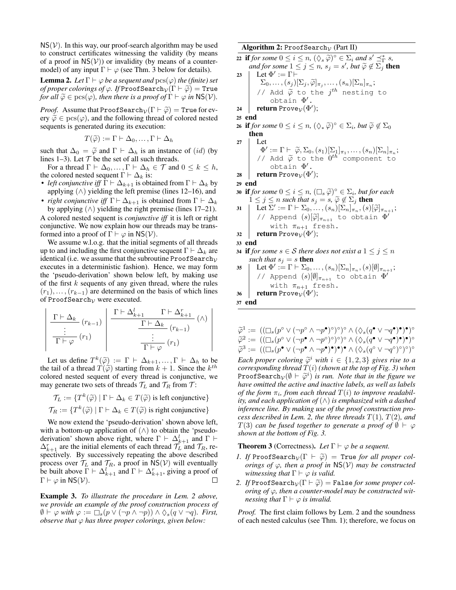$NS(V)$ . In this way, our proof-search algorithm may be used to construct certificates witnessing the validity (by means of a proof in  $NS(V)$ ) or invalidity (by means of a countermodel) of any input  $\Gamma \vdash \varphi$  (see Thm. [3](#page-6-0) below for details).

<span id="page-6-1"></span>**Lemma 2.** Let  $\Gamma \vdash \varphi$  be a sequent and  $\text{pcs}(\varphi)$  the (finite) set *of proper colorings of*  $\varphi$ *. If* ProofSearch<sub> $\mathcal{V}(\Gamma \vdash \widetilde{\varphi})$  = True</sub> *for all*  $\widetilde{\varphi} \in \text{pcs}(\varphi)$ *, then there is a proof of*  $\Gamma \vdash \varphi$  *in* NS(*V*).

*Proof.* Assume that ProofSearch<sub>V</sub> $(\Gamma \vdash \widetilde{\varphi})$  = True for every  $\tilde{\varphi} \in \text{pcs}(\varphi)$ , and the following thread of colored nested sequents is generated during its execution:

$$
T(\widetilde{\varphi}) := \Gamma \vdash \Delta_0, \dots, \Gamma \vdash \Delta_h
$$

such that  $\Delta_0 = \tilde{\varphi}$  and  $\Gamma \vdash \Delta_h$  is an instance of  $(id)$  (by lines 1–3). Let  $T$  be the set of all such threads.

For a thread  $\Gamma \vdash \Delta_0, \ldots, \Gamma \vdash \Delta_h \in \mathcal{T}$  and  $0 \leq k \leq h$ , the colored nested sequent  $\Gamma \vdash \Delta_k$  is:

- *left conjunctive iff*  $\Gamma \vdash \Delta_{k+1}$  is obtained from  $\Gamma \vdash \Delta_k$  by applying  $(\wedge)$  yielding the left premise (lines 12–16), and
- *right conjunctive iff*  $\Gamma \vdash \Delta_{k+1}$  is obtained from  $\Gamma \vdash \Delta_k$ by applying  $(\wedge)$  yielding the right premise (lines 17–21).

A colored nested sequent is *conjunctive iff* it is left or right conjunctive. We now explain how our threads may be transformed into a proof of  $\Gamma \vdash \varphi$  in NS( $V$ ).

We assume w.l.o.g. that the initial segments of all threads up to and including the first conjunctive sequent  $\Gamma \vdash \Delta_k$  are identical (i.e. we assume that the subroutine ProofSearch<sub>V</sub> executes in a deterministic fashion). Hence, we may form the 'pseudo-derivation' shown below left, by making use of the first  $k$  sequents of any given thread, where the rules  $(r_1), \ldots, (r_{k-1})$  are determined on the basis of which lines of ProofSearch<sub>v</sub> were executed.

$$
\left| \frac{\Gamma \vdash \Delta_k}{\Gamma \vdash \varphi} (r_{k-1}) \right| \frac{\Gamma \vdash \Delta_{k+1}^l \quad \Gamma \vdash \Delta_{k+1}^r}{\Gamma \vdash \Delta_k} (r_{k-1}) \qquad (\wedge) \frac{\vdots}{\Gamma \vdash \varphi} (r_1)
$$

Let us define  $T^k(\tilde{\varphi}) := \Gamma \vdash \Delta_{k+1}, \ldots, \Gamma \vdash \Delta_h$  to be <br>tail of a thread  $T(\tilde{\varphi})$  starting from  $k+1$ . Since the  $k^{th}$ the tail of a thread  $\hat{T}(\tilde{\varphi})$  starting from  $k + 1$ . Since the  $k^{th}$ <br>colored nested sequent of every thread is conjunctive we colored nested sequent of every thread is conjunctive, we may generate two sets of threads  $\mathcal{T}_L$  and  $\mathcal{T}_R$  from  $\mathcal{T}$ :

 $\mathcal{T}_L := \{ T^k(\widetilde{\varphi}) \mid \Gamma \vdash \Delta_k \in T(\widetilde{\varphi}) \text{ is left conjunctive} \}$  $\mathcal{T}_R := \{ T^k(\widetilde{\varphi}) \mid \Gamma \vdash \Delta_k \in T(\widetilde{\varphi}) \text{ is right conjunctive} \}$ 

We now extend the 'pseudo-derivation' shown above left, with a bottom-up application of  $(\wedge)$  to obtain the 'pseudoderivation' shown above right, where  $\Gamma \vdash \Delta_{k+1}^l$  and  $\Gamma \vdash$  $\Delta_{k+1}^r$  are the initial elements of each thread  $\mathcal{T}_L^{\text{max}}$  and  $\mathcal{T}_R$ , respectively. By successively repeating the above described process over  $\mathcal{T}_L$  and  $\mathcal{T}_R$ , a proof in NS(V) will eventually be built above  $\Gamma \vdash \Delta_{k+1}^l$  and  $\Gamma \vdash \Delta_{k+1}^r$ , giving a proof of  $\Gamma \vdash \varphi$  in NS( $V$ ). □

Example 3. *To illustrate the procedure in Lem. [2](#page-6-1) above, we provide an example of the proof construction process of*  $\emptyset \vdash \varphi$  with  $\varphi := \Box_s(p \vee (\neg p \wedge \neg p)) \wedge \Diamond_s(q \vee \neg q)$ . First, *observe that*  $\varphi$  *has three proper colorings, given below:* 

### Algorithm 2: ProofSearch<sub>V</sub> (Part II)

**22 if** *for some*  $0 \le i \le n$ ,  $(\Diamond_s \widetilde{\varphi})^{\circ} \in \Sigma_i$  *and*  $s' \preceq^*_{\Gamma} s$ ,<br>and for some  $1 \le i \le n$ ,  $s_i = s'$  but  $\widetilde{\varphi} \notin \Sigma_i$ ; the *and for some*  $1 \leq j \leq n$ ,  $s_j = s'$ , *but*  $\widetilde{\varphi} \notin \Sigma_j^+$  **then**  $I \in \mathbb{R}^N \setminus \{-\Gamma \vdash$ 

23 | Let  $\Phi' := \Gamma \vdash$  $\Sigma_0, \ldots, (s_j) [\Sigma_j, \widetilde{\varphi}]_{\pi_j}, \ldots, (s_n) [\Sigma_n]_{\pi_n};$ // Add  $\widetilde{\varphi}$  to the  $j^{th}$  nesting to obtain  $\Phi'$ obtain Φ ′. 24  $\;$  return Prove $_{\mathcal{V}}(\Phi^{\prime});$ 

### 25 end

```
26 if for some 0 \leq i \leq n, (\Diamond \ast \widetilde{\varphi})^{\circ} \in \Sigma_i, but \widetilde{\varphi} \notin \Sigma_0 then
         then
```

```
27 Let
                  \Phi' := \Gamma \vdash \widetilde{\varphi}, \Sigma_0, (s_1)[\Sigma_1]_{\pi_1}, \dots, (s_n)[\Sigma_n]_{\pi_n};<br>
( Add \widetilde{\varphi} to the 0<sup>th</sup> component to
               // Add \tilde{\varphi} to the 0^{th} component to obtain \Phi'obtain Φ
′.
```

```
28 return Prove_{\mathcal{V}}(\Phi');
```
29 end

```
30 if for some 0 \le i \le n, (\Box_s \widetilde{\varphi})^{\circ} \in \Sigma_i, but for each 1 \le i \le n such that s_i - s_i \widetilde{\varphi} \notin \Sigma_i, then
              1 \leq j \leq n such that s_j = s, \widetilde{\varphi} \notin \Sigma_j then<br>\vdash Let \Sigma' := \Gamma \vdash \Sigma_0 (e) [\Sigma \vdash ] (e)
```
31 Let 
$$
\Sigma' := \Gamma \vdash \Sigma_0, ..., (s_n)[\Sigma_n]_{\pi_n}, (s)[\widetilde{\varphi}]_{\pi_{n+1}}
$$
;  
\n//  $\varphi$  (s)[ $\widetilde{\varphi}]_{\pi_{n+1}}$  to obtain  $\Phi'$   
\n32 return  $\text{Prove}_{\mathcal{V}}(\Phi')$ ;  
\n53.

33 end

```
34 if for some s \in S there does not exist a \leq j \leq nsuch that s_i = s then
```

```
35 \Box Let \Phi' := \Gamma \vdash \Sigma_0, \ldots, (s_n) [\Sigma_n]_{\pi_n}, (s) [\emptyset]_{\pi_{n+1}};// Append (s)[\emptyset]_{\pi_{n+1}} to obtain \Phi'with \pi_{n+1} fresh.
36 return Prove_{\mathcal{V}}(\Phi^{\prime});
```

```
37 end
```

$$
\widetilde{\varphi}^1 := ((\Box_s(p^\circ \lor (\neg p^\circ \land \neg p^\bullet)^\circ)^\circ)^\circ \land (\Diamond_s(q^\bullet \lor \neg q^\bullet)^\bullet)^\circ)^\circ
$$
  

$$
\widetilde{\varphi}^2 := ((\Box_s(p^\circ \lor (\neg p^\bullet \land \neg p^\circ)^\circ)^\circ)^\circ \land (\Diamond_s(q^\bullet \lor \neg q^\bullet)^\bullet)^\circ)^\circ
$$
  

$$
\widetilde{\varphi}^3 := ((\Box_s(p^\bullet \lor (\neg p^\bullet \land \neg p^\bullet)^\bullet)^\bullet)^\bullet \land (\Diamond_s(q^\circ \lor \neg q^\circ)^\circ)^\circ)^\circ
$$

*Each proper coloring*  $\widetilde{\varphi}^i$  *with*  $i \in \{1, 2, 3\}$  *gives rise to a corresponding thread*  $T(i)$  (*shown at the top of Fig. 3*) *when corresponding thread*  $T(i)$  *(shown at the top of Fig. [3\)](#page-7-0)* when  $ProofSearch_V(\emptyset \vdash \tilde{\varphi}^i)$  is run. Note that in the figure we<br>have omitted the active and inactive labels, as well as labels *have omitted the active and inactive labels, as well as labels of the form*  $\pi_i$ , from each thread  $T(i)$  to improve readabil*ity, and each application of*  $( \wedge )$  *is emphasized with a dashed inference line. By making use of the proof construction process described in Lem.* [2,](#page-6-1) the three threads  $T(1)$ ,  $T(2)$ , and T(3) *can be fused together to generate a proof of*  $\emptyset$  ⊢  $\varphi$ *shown at the bottom of Fig. [3.](#page-7-0)*

<span id="page-6-0"></span>**Theorem 3** (Correctness). Let  $\Gamma \vdash \varphi$  be a sequent.

- *1. If* ProofSearch<sub> $V(\Gamma \vdash \tilde{\varphi})$  = True *for all proper col-*</sub> *orings of*  $\varphi$ *, then a proof in* NS(V) *may be constructed witnessing that*  $\Gamma \vdash \varphi$  *is valid.*
- *2. If* ProofSearch<sub> $V(\Gamma \vdash \widetilde{\varphi})$  = False *for some proper col-*</sub> *oring of* φ*, then a counter-model may be constructed witnessing that*  $\Gamma \vdash \varphi$  *is invalid.*

*Proof.* The first claim follows by Lem. [2](#page-6-1) and the soundness of each nested calculus (see Thm. [1\)](#page-4-2); therefore, we focus on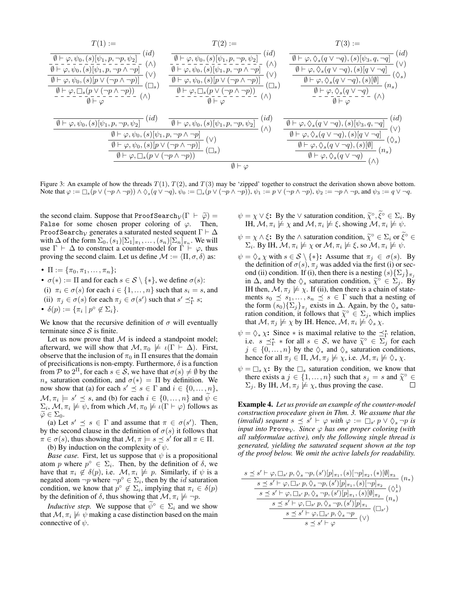<span id="page-7-0"></span>
$$
T(1) := \n\begin{array}{c}\nT(1) := \n\frac{1}{\left(\theta + \varphi, \psi_0, (s)[\psi_1, p, \neg p, \psi_2]\right)}(id) \\
\hline\n\frac{1}{\left(\theta + \varphi, \psi_0, (s)[\psi_1, p, \neg p \land \neg p]\right)}(d) \\
\hline\n\frac{1}{\left(\theta + \varphi, \psi_0, (s)[\psi_1, p, \neg p \land \neg p]\right)}(d) \\
\hline\n\frac{1}{\left(\theta + \varphi, \psi_0, (s)[\psi_1, p, \neg p \land \neg p]\right)}(d) \\
\hline\n\frac{1}{\left(\theta + \varphi, \psi_0, (s)[\psi_1, p, \neg p \land \neg p]\right)}(d) \\
\hline\n\frac{1}{\left(\theta + \varphi, \psi_0, (s)[\psi_1, p, \neg p \land \neg p]\right)}(d) \\
\hline\n\frac{1}{\left(\theta + \varphi, \psi_0, (s)[\psi_1, p, \neg p \land \neg p]\right)}(d) \\
\hline\n\frac{1}{\left(\theta + \varphi, \psi_0, (s)[\psi_1, p, \neg p, \psi_2]\right)}(d) \\
\hline\n\frac{1}{\left(\theta + \varphi, \psi_0, (s)[\psi_1, p, \neg p, \psi_2]\right)}(d) \\
\hline\n\frac{1}{\left(\theta + \varphi, \psi_0, (s)[\psi_1, p, \neg p, \psi_2]\right)}(id) \\
\hline\n\frac{1}{\left(\theta + \varphi, \psi_0, (s)[\psi_1, p, \neg p, \psi_2]\right)}(id) \\
\hline\n\frac{1}{\left(\theta + \varphi, \psi_0, (s)[\psi_1, p, \neg p, \psi_2]\right)}(id) \\
\hline\n\frac{1}{\left(\theta + \varphi, \psi_0, (s)[\psi_1, p, \neg p, \psi_2]\right)}(d) \\
\hline\n\frac{1}{\left(\theta + \varphi, \psi_0, (s)[\psi_1, p, \neg p, \psi_2]\right)}(d) \\
\hline\n\frac{1}{\left(\theta + \varphi, \psi_0, (s)[\psi_1, p, \neg p, \psi_2]\right)}(d) \\
\hline\n\frac{1}{\left(\theta + \varphi, \psi_
$$

Figure 3: An example of how the threads  $T(1)$ ,  $T(2)$ , and  $T(3)$  may be 'zipped' together to construct the derivation shown above bottom. Note that  $\varphi := \Box_s(p \vee (\neg p \wedge \neg p)) \wedge \Diamond_s(q \vee \neg q)$ ,  $\psi_0 := \Box_s(p \vee (\neg p \wedge \neg p))$ ,  $\psi_1 := p \vee (\neg p \wedge \neg p)$ ,  $\psi_2 := \neg p \wedge \neg p$ , and  $\psi_3 := q \vee \neg q$ .

the second claim. Suppose that ProofSearch<sub>V</sub> $(\Gamma \vdash \tilde{\varphi}) =$ False for some chosen proper coloring of  $\varphi$ . Then, ProofSearch<sub>V</sub> generates a saturated nested sequent  $\Gamma \vdash \Delta$ with  $\Delta$  of the form  $\Sigma_0$ ,  $(s_1)[\Sigma_1]_{\pi_1}, \dots, (s_n)[\Sigma_n]_{\pi_n}$ . We will use  $\Gamma \vdash \Delta$  to construct a counter-model for  $\Gamma \vdash \varphi$ , thus proving the second claim. Let us define  $\mathcal{M} := \langle \Pi, \sigma, \delta \rangle$  as:

- $\Pi := {\pi_0, \pi_1, ..., \pi_n};$
- $\sigma(*) := \Pi$  and for each  $s \in S \setminus \{*\}$ , we define  $\sigma(s)$ :
- (i)  $\pi_i \in \sigma(s)$  for each  $i \in \{1, ..., n\}$  such that  $s_i = s$ , and (ii)  $\pi_j \in \sigma(s)$  for each  $\pi_j \in \sigma(s')$  such that  $s' \preceq^*_{\Gamma} s$ ;
- $\delta(p) := {\pi_i \mid p^{\circ} \notin \Sigma_i}.$

We know that the recursive definition of  $\sigma$  will eventually terminate since  $S$  is finite.

Let us now prove that  $M$  is indeed a standpoint model; afterward, we will show that  $\mathcal{M}, \pi_0 \not\models \iota(\Gamma \vdash \Delta)$ . First, observe that the inclusion of  $\pi_0$  in  $\Pi$  ensures that the domain of precisifications is non-empty. Furthermore,  $\delta$  is a function from P to  $2^{\Pi}$ , for each  $s \in \mathcal{S}$ , we have that  $\sigma(s) \neq \emptyset$  by the  $n_s$  saturation condition, and  $\sigma(*) = \Pi$  by definition. We now show that (a) for each  $s' \preceq s \in \Gamma$  and  $i \in \{0, ..., n\},$  $\mathcal{M}, \pi_i \models s' \preceq s$ , and (b) for each  $i \in \{0, \dots, n\}$  and  $\widetilde{\psi} \in \mathbb{R}$  $\Sigma_i$ ,  $\mathcal{M}, \pi_i \not\models \psi$ , from which  $\mathcal{M}, \pi_0 \not\models \iota(\Gamma \vdash \varphi)$  follows as  $\widetilde{\varphi} \in \Sigma_0$ .

(a) Let  $s' \preceq s \in \Gamma$  and assume that  $\pi \in \sigma(s')$ . Then, by the second clause in the definition of  $\sigma(s)$  it follows that  $\pi \in \sigma(s)$ , thus showing that  $\mathcal{M}, \pi \models s \preceq s'$  for all  $\pi \in \Pi$ . (b) By induction on the complexity of  $\psi$ .

*Base case.* First, let us suppose that  $\psi$  is a propositional atom p where  $p^{\circ} \in \Sigma_i$ . Then, by the definition of  $\delta$ , we have that  $\pi_i \notin \delta(p)$ , i.e.  $\mathcal{M}, \pi_i \not\models p$ . Similarly, if  $\psi$  is a negated atom  $\neg p$  where  $\neg p^{\circ} \in \Sigma_i$ , then by the *id* saturation condition, we know that  $p^{\circ} \notin \Sigma_i$ , implying that  $\pi_i \in \delta(p)$ by the definition of  $\delta$ , thus showing that  $\mathcal{M}, \pi_i \not\models \neg p$ .

*Inductive step.* We suppose that  $\psi^\circ \in \Sigma_i$  and we show that  $\mathcal{M}, \pi_i \not\models \psi$  making a case distinction based on the main connective of  $\psi$ .

- $\psi = \chi \vee \xi$ : By the  $\vee$  saturation condition,  $\widetilde{\chi}^{\circ}, \widetilde{\xi}^{\circ} \in \Sigma_i$ . By<br>
IH  $M \pi \nleftrightarrow \chi$  and  $M \pi \nleftrightarrow \xi$  showing  $M \pi \nleftrightarrow \psi$ IH,  $\mathcal{M}, \pi_i \not\models \chi$  and  $\mathcal{M}, \pi_i \not\models \xi$ , showing  $\mathcal{M}, \pi_i \not\models \psi$ .
- $\psi = \chi \wedge \xi$ : By the  $\wedge$  saturation condition,  $\widetilde{\chi}^{\circ} \in \Sigma_i$  or  $\widetilde{\xi}^{\circ} \in$ <br>  $\Sigma$ . By IH  $\mathcal{M} \pi \nvDash \chi$  or  $\mathcal{M} \pi \nvDash \xi$  so  $\mathcal{M} \pi \nvDash \psi$  $\Sigma_i$ . By IH,  $\mathcal{M}, \pi_i \not\models \chi$  or  $\mathcal{M}, \pi_i \not\models \xi$ , so  $\mathcal{M}, \pi_i \not\models \psi$ .
- $\psi = \Diamond_s \chi$  with  $s \in S \setminus \{*\}$ : Assume that  $\pi_i \in \sigma(s)$ . By the definition of  $\sigma(s)$ ,  $\pi_j$  was added via the first (i) or second (ii) condition. If (i), then there is a nesting  $(s){\{\Sigma_j\}_{{\pi}_j}$ in  $\Delta$ , and by the  $\diamondsuit_s$  saturation condition,  $\widetilde{\chi}^{\circ} \in \Sigma_j$ . By<br>
H then  $M \pi \nleftrightarrow \chi$  If (ii) then there is a chain of state-IH then,  $\mathcal{M}, \pi_j \not\models \chi$ . If (ii), then there is a chain of statements  $s_0 \preceq s_1, \ldots, s_n \preceq s \in \Gamma$  such that a nesting of the form  $(s_0)\{\sum_j\}_{\pi_j}$  exists in  $\Delta$ . Again, by the  $\diamondsuit_s$  saturation condition, it follows that  $\widetilde{\chi}^{\circ} \in \Sigma_j$ , which implies that  $M \pi \not\models \chi$  by IH Hence  $M \pi \not\models \Diamond \chi$ that  $M, \pi_j \not\models \chi$  by IH. Hence,  $M, \pi_i \not\models \Diamond_s \chi$ .
- $\psi = \Diamond_* \chi$ : Since  $*$  is maximal relative to the  $\preceq^*_{\Gamma}$  relation, i.e.  $s \preceq_{\Gamma}^* *$  for all  $s \in S$ , we have  $\widetilde{\chi}^{\circ} \in \Sigma_j^*$  for each  $i \in \{0, \ldots, n\}$  by the  $\land$  and  $\land$  saturation conditions  $j \in \{0, \ldots, n\}$  by the  $\diamondsuit_*$  and  $\diamondsuit_s$  saturation conditions, hence for all  $\pi_j \in \Pi$ ,  $\mathcal{M}, \pi_j \not\models \chi$ , i.e.  $\mathcal{M}, \pi_i \not\models \Diamond_* \chi$ .
- $\psi = \Box_s \chi$ : By the  $\Box_s$  saturation condition, we know that there exists  $a_j \in \{1, ..., n\}$  such that  $s_j = s$  and  $\tilde{\chi}^{\circ} \in \Sigma$ . By IH  $M \pi \nleftrightarrow \chi$  thus proving the case  $\Sigma_i$ . By IH,  $\mathcal{M}, \pi_i \not\models \chi$ , thus proving the case.  $\Box$

Example 4. *Let us provide an example of the counter-model construction procedure given in Thm. [3.](#page-6-0) We assume that the* (invalid) sequent  $s \preceq s' \vdash \varphi$  with  $\varphi := \Box_{s'} p \lor \Diamond_s \neg p$  is *input into* Prove<sub>V</sub>*. Since*  $\varphi$  *has one proper coloring (with all subformulae active), only the following single thread is generated, yielding the saturated sequent shown at the top of the proof below. We omit the active labels for readability.*

$$
\frac{s \preceq s' \vdash \varphi, \Box_{s'} p, \Diamond_s \neg p, (s') [p]_{\pi_1}, (s) [\neg p]_{\pi_2}, (*) [\emptyset]_{\pi_3}}{s \preceq s' \vdash \varphi, \Box_{s'} p, \Diamond_s \neg p, (s') [p]_{\pi_1}, (s) [\neg p]_{\pi_2}} (\Diamond_s^1)
$$

$$
\frac{s \preceq s' \vdash \varphi, \Box_{s'} p, \Diamond_s \neg p, (s') [p]_{\pi_1}, (s) [\emptyset]_{\pi_2}}{s \preceq s' \vdash \varphi, \Box_{s'} p, \Diamond_s \neg p, (s') [p]_{\pi_1}} (n_s)
$$

$$
\frac{s \preceq s' \vdash \varphi, \Box_{s'} p, \Diamond_s \neg p, (s') [p]_{\pi_1}}{s \preceq s' \vdash \varphi} (\vee)
$$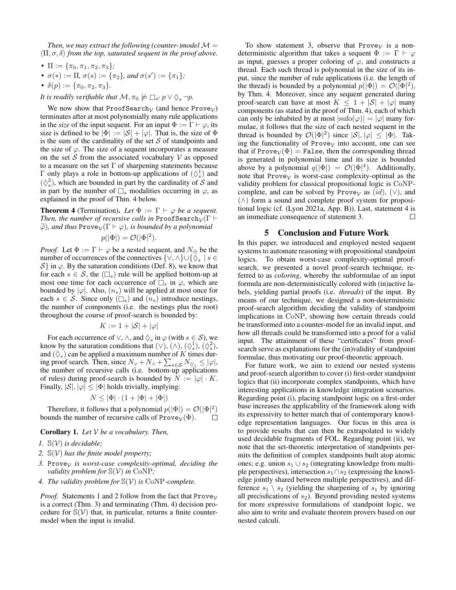*Then, we may extract the following (counter-)model*  $M =$  $\langle \Pi, \sigma, \delta \rangle$  *from the top, saturated sequent in the proof above.* 

- $\Pi := {\pi_0, \pi_1, \pi_2, \pi_3}$ ;
- $\sigma(*) := \Pi, \sigma(s) := {\pi_2}, \text{ and } \sigma(s') := {\pi_1};$
- $\delta(p) := {\pi_0, \pi_2, \pi_3}.$
- *It is readily verifiable that*  $\mathcal{M}, \pi_0 \not\models \Box_{s'} p \lor \Diamond_s \neg p$ .

We now show that ProofSearch<sub>V</sub> (and hence Prove<sub>V</sub>) terminates after at most polynomially many rule applications in the *size* of the input sequent. For an input  $\Phi := \Gamma \vdash \varphi$ , its size is defined to be  $|\Phi| := |\mathcal{S}| + |\varphi|$ . That is, the size of  $\Phi$ is the sum of the cardinality of the set  $S$  of standpoints and the size of  $\varphi$ . The size of a sequent incorporates a measure on the set  $S$  from the associated vocabulary  $V$  as opposed to a measure on the set  $\Gamma$  of sharpening statements because Γ only plays a role in bottom-up applications of  $(\Diamond_s^1)$  and  $(\Diamond_s^2)$ , which are bounded in part by the cardinality of S and in part by the number of  $\square_s$  modalities occurring in  $\varphi$ , as explained in the proof of Thm. [4](#page-8-1) below.

<span id="page-8-1"></span>**Theorem 4** (Termination). Let  $\Phi := \Gamma \vdash \varphi$  be a sequent. *Then, the number of recursive calls in* ProofSearch<sub> $\nu$ </sub> ( $\Gamma \vdash$  $\widetilde{\varphi}$ *), and thus* Prove $\gamma(\Gamma \vdash \varphi)$ *, is bounded by a polynomial* 

$$
p(|\Phi|) = \mathcal{O}(|\Phi|^2).
$$

*Proof.* Let  $\Phi := \Gamma \vdash \varphi$  be a nested sequent, and  $N_{\oplus}$  be the number of occurrences of the connectives  $\{\vee, \wedge\} \cup \{\breve{\Diamond}_s \mid s \in$  $S$  in  $\varphi$ . By the saturation conditions (Def. [8\)](#page-5-3), we know that for each  $s \in S$ , the  $(\Box_s)$  rule will be applied bottom-up at most one time for each occurrence of  $\square_s$  in  $\varphi$ , which are bounded by  $|\varphi|$ . Also,  $(n_s)$  will be applied at most once for each  $s \in S$ . Since only  $(\Box_s)$  and  $(n_s)$  introduce nestings, the number of components (i.e. the nestings plus the root) throughout the course of proof-search is bounded by:

$$
K := 1 + |\mathcal{S}| + |\varphi|
$$

For each occurrence of  $\vee$ ,  $\wedge$ , and  $\Diamond_s$  in  $\varphi$  (with  $s \in \mathcal{S}$ ), we know by the saturation conditions that  $(\vee), (\wedge), (\wedge^1), (\wedge^2^2),$ and  $(\Diamond_*)$  can be applied a maximum number of K times during proof search. Then, since  $N_{\vee} + N_{\wedge} + \sum_{s \in \mathcal{S}} N_{\lozenge_s} \le |\varphi|$ , the number of recursive calls (i.e. bottom-up applications of rules) during proof-search is bounded by  $N := |\varphi| \cdot K$ . Finally,  $|S|, |\varphi| \leq |\Phi|$  holds trivially, implying:

$$
N \le |\Phi| \cdot (1 + |\Phi| + |\Phi|)
$$

Therefore, it follows that a polynomial  $p(|\Phi|) = \mathcal{O}(|\Phi|^2)$ bounds the number of recursive calls of  $\text{Prove}_{\mathcal{V}}(\Phi)$ . П

Corollary 1. *Let* V *be a vocabulary. Then,*

- *1.* S(V) *is decidable;*
- *2.* S(V) *has the finite model property;*
- $3.$  Prove<sub>V</sub> is worst-case complexity-optimal, deciding the *validity problem for*  $\mathbb{S}(\mathcal{V})$  *in* CoNP;
- *4. The validity problem for* S(V) *is* CoNP*-complete.*

*Proof.* Statements 1 and 2 follow from the fact that Prove<sub>V</sub> is a correct (Thm. [3\)](#page-6-0) and terminating (Thm. [4\)](#page-8-1) decision procedure for  $\mathbb{S}(\mathcal{V})$  that, in particular, returns a finite countermodel when the input is invalid.

To show statement 3, observe that Prove<sub>V</sub> is a nondeterministic algorithm that takes a sequent  $\Phi := \Gamma \vdash \varphi$ as input, guesses a proper coloring of  $\varphi$ , and constructs a thread. Each such thread is polynomial in the size of its input, since the number of rule applications (i.e. the length of the thread) is bounded by a polynomial  $p(|\Phi|) = \mathcal{O}(\bar{|\Phi|^2})$ , by Thm. [4.](#page-8-1) Moreover, since any sequent generated during proof-search can have at most  $K \leq 1 + |\mathcal{S}| + |\varphi|$  many components (as stated in the proof of Thm. [4\)](#page-8-1), each of which can only be inhabited by at most  $|\text{sufo}(\varphi)| = |\varphi|$  many formulae, it follows that the size of each nested sequent in the thread is bounded by  $\mathcal{O}(|\Phi|^2)$  since  $|\mathcal{S}|, |\varphi| \leq |\Phi|$ . Taking the functionality of Prove<sub>V</sub> into account, one can see that if Prove $v(\Phi)$  = False, then the corresponding thread is generated in polynomial time and its size is bounded above by a polynomial  $q(|\Phi|) = \mathcal{O}(|\Phi|^4)$ . Additionally, note that Prove<sub>V</sub> is worst-case complexity-optimal as the validity problem for classical propositional logic is CoNPcomplete, and can be solved by Prove<sub>V</sub> as  $(id)$ ,  $(\vee)$ , and (∧) form a sound and complete proof system for propositional logic (cf. [\(Lyon 2021a,](#page-9-17) App. B)). Last, statement 4 is an immediate consequence of statement 3.  $\Box$ 

### 5 Conclusion and Future Work

<span id="page-8-0"></span>In this paper, we introduced and employed nested sequent systems to automate reasoning with propositional standpoint logics. To obtain worst-case complexity-optimal proofsearch, we presented a novel proof-search technique, referred to as *coloring*, whereby the subformulae of an input formula are non-deterministically colored with (in)active labels, yielding partial proofs (i.e. *threads*) of the input. By means of our technique, we designed a non-deterministic proof-search algorithm deciding the validity of standpoint implications in CoNP, showing how certain threads could be transformed into a counter-model for an invalid input, and how all threads could be transformed into a proof for a valid input. The attainment of these "certificates" from proofsearch serve as explanations for the (in)validity of standpoint formulae, thus motivating our proof-theoretic approach.

For future work, we aim to extend our nested systems and proof-search algorithm to cover (i) first-order standpoint logics that (ii) incorporate complex standpoints, which have interesting applications in knowledge integration scenarios. Regarding point (i), placing standpoint logic on a first-order base increases the applicability of the framework along with its expressivity to better match that of contemporary knowledge representation languages. Our focus in this area is to provide results that can then be extrapolated to widely used decidable fragments of FOL. Regarding point (ii), we note that the set-theoretic interpretation of standpoints permits the definition of complex standpoints built atop atomic ones; e.g. union  $s_1 \cup s_2$  (integrating knowledge from multiple perspectives), intersection  $s_1 \cap s_2$  (expressing the knowledge jointly shared between multiple perspectives), and difference  $s_1 \setminus s_2$  (yielding the sharpening of  $s_1$  by ignoring all precisfications of  $s_2$ ). Beyond providing nested systems for more expressive formulations of standpoint logic, we also aim to write and evaluate theorem provers based on our nested calculi.